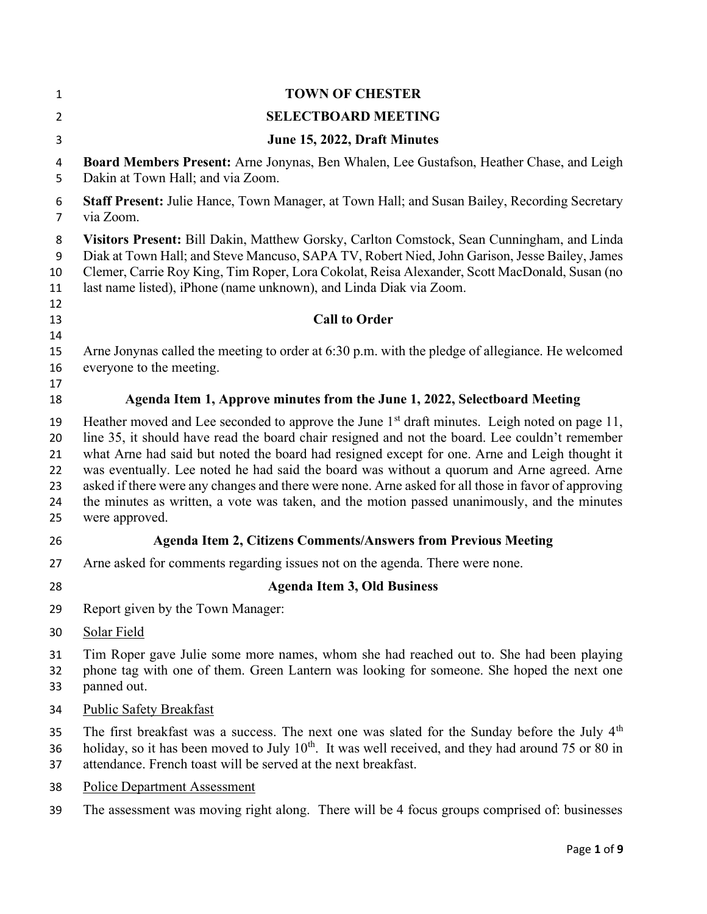| 1                                      | <b>TOWN OF CHESTER</b>                                                                                                                                                                                                                                                                                                                                                                                                                                                                                                                                                                                                    |
|----------------------------------------|---------------------------------------------------------------------------------------------------------------------------------------------------------------------------------------------------------------------------------------------------------------------------------------------------------------------------------------------------------------------------------------------------------------------------------------------------------------------------------------------------------------------------------------------------------------------------------------------------------------------------|
| $\overline{2}$                         | <b>SELECTBOARD MEETING</b>                                                                                                                                                                                                                                                                                                                                                                                                                                                                                                                                                                                                |
| 3                                      | June 15, 2022, Draft Minutes                                                                                                                                                                                                                                                                                                                                                                                                                                                                                                                                                                                              |
| 4<br>5                                 | Board Members Present: Arne Jonynas, Ben Whalen, Lee Gustafson, Heather Chase, and Leigh<br>Dakin at Town Hall; and via Zoom.                                                                                                                                                                                                                                                                                                                                                                                                                                                                                             |
| 6<br>7                                 | <b>Staff Present:</b> Julie Hance, Town Manager, at Town Hall; and Susan Bailey, Recording Secretary<br>via Zoom.                                                                                                                                                                                                                                                                                                                                                                                                                                                                                                         |
| 8<br>9<br>10<br>11<br>12               | Visitors Present: Bill Dakin, Matthew Gorsky, Carlton Comstock, Sean Cunningham, and Linda<br>Diak at Town Hall; and Steve Mancuso, SAPA TV, Robert Nied, John Garison, Jesse Bailey, James<br>Clemer, Carrie Roy King, Tim Roper, Lora Cokolat, Reisa Alexander, Scott MacDonald, Susan (no<br>last name listed), iPhone (name unknown), and Linda Diak via Zoom.                                                                                                                                                                                                                                                        |
| 13<br>14                               | <b>Call to Order</b>                                                                                                                                                                                                                                                                                                                                                                                                                                                                                                                                                                                                      |
| 15<br>16<br>17                         | Arne Jonynas called the meeting to order at 6:30 p.m. with the pledge of allegiance. He welcomed<br>everyone to the meeting.                                                                                                                                                                                                                                                                                                                                                                                                                                                                                              |
| 18                                     | Agenda Item 1, Approve minutes from the June 1, 2022, Selectboard Meeting                                                                                                                                                                                                                                                                                                                                                                                                                                                                                                                                                 |
| 19<br>20<br>21<br>22<br>23<br>24<br>25 | Heather moved and Lee seconded to approve the June $1st$ draft minutes. Leigh noted on page 11,<br>line 35, it should have read the board chair resigned and not the board. Lee couldn't remember<br>what Arne had said but noted the board had resigned except for one. Arne and Leigh thought it<br>was eventually. Lee noted he had said the board was without a quorum and Arne agreed. Arne<br>asked if there were any changes and there were none. Arne asked for all those in favor of approving<br>the minutes as written, a vote was taken, and the motion passed unanimously, and the minutes<br>were approved. |
| 26                                     | <b>Agenda Item 2, Citizens Comments/Answers from Previous Meeting</b>                                                                                                                                                                                                                                                                                                                                                                                                                                                                                                                                                     |
| 27                                     | Arne asked for comments regarding issues not on the agenda. There were none.                                                                                                                                                                                                                                                                                                                                                                                                                                                                                                                                              |
| 28                                     | <b>Agenda Item 3, Old Business</b>                                                                                                                                                                                                                                                                                                                                                                                                                                                                                                                                                                                        |
| 29                                     | Report given by the Town Manager:                                                                                                                                                                                                                                                                                                                                                                                                                                                                                                                                                                                         |
| 30                                     | Solar Field                                                                                                                                                                                                                                                                                                                                                                                                                                                                                                                                                                                                               |
| 31<br>32<br>33                         | Tim Roper gave Julie some more names, whom she had reached out to. She had been playing<br>phone tag with one of them. Green Lantern was looking for someone. She hoped the next one<br>panned out.                                                                                                                                                                                                                                                                                                                                                                                                                       |
| 34                                     | <b>Public Safety Breakfast</b>                                                                                                                                                                                                                                                                                                                                                                                                                                                                                                                                                                                            |
| 35<br>36<br>37                         | The first breakfast was a success. The next one was slated for the Sunday before the July 4 <sup>th</sup><br>holiday, so it has been moved to July $10th$ . It was well received, and they had around 75 or 80 in<br>attendance. French toast will be served at the next breakfast.                                                                                                                                                                                                                                                                                                                                       |
| 38                                     | <b>Police Department Assessment</b>                                                                                                                                                                                                                                                                                                                                                                                                                                                                                                                                                                                       |
| 39                                     | The assessment was moving right along. There will be 4 focus groups comprised of: businesses                                                                                                                                                                                                                                                                                                                                                                                                                                                                                                                              |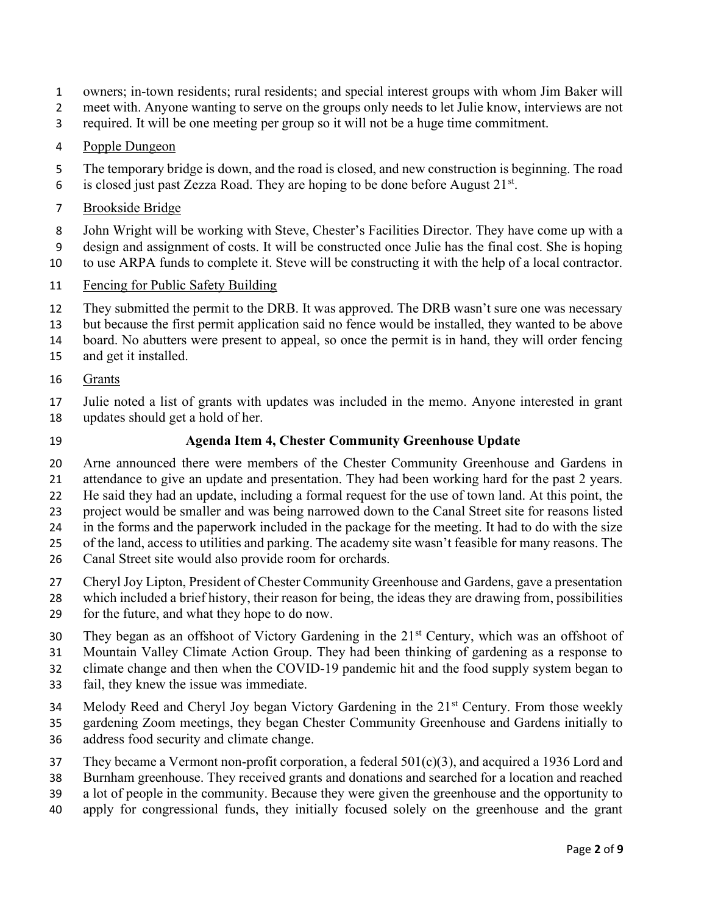- owners; in-town residents; rural residents; and special interest groups with whom Jim Baker will
- 2 meet with. Anyone wanting to serve on the groups only needs to let Julie know, interviews are not
- required. It will be one meeting per group so it will not be a huge time commitment.

## Popple Dungeon

- The temporary bridge is down, and the road is closed, and new construction is beginning. The road
- 6 is closed just past Zezza Road. They are hoping to be done before August  $21^{st}$ .
- Brookside Bridge

John Wright will be working with Steve, Chester's Facilities Director. They have come up with a

design and assignment of costs. It will be constructed once Julie has the final cost. She is hoping to use ARPA funds to complete it. Steve will be constructing it with the help of a local contractor.

- 11 Fencing for Public Safety Building
- They submitted the permit to the DRB. It was approved. The DRB wasn't sure one was necessary
- but because the first permit application said no fence would be installed, they wanted to be above
- board. No abutters were present to appeal, so once the permit is in hand, they will order fencing
- and get it installed.
- Grants
- Julie noted a list of grants with updates was included in the memo. Anyone interested in grant updates should get a hold of her.
- 

## Agenda Item 4, Chester Community Greenhouse Update

Arne announced there were members of the Chester Community Greenhouse and Gardens in

- attendance to give an update and presentation. They had been working hard for the past 2 years.
- He said they had an update, including a formal request for the use of town land. At this point, the
- project would be smaller and was being narrowed down to the Canal Street site for reasons listed
- in the forms and the paperwork included in the package for the meeting. It had to do with the size
- of the land, access to utilities and parking. The academy site wasn't feasible for many reasons. The
- Canal Street site would also provide room for orchards.
- Cheryl Joy Lipton, President of Chester Community Greenhouse and Gardens, gave a presentation
- which included a brief history, their reason for being, the ideas they are drawing from, possibilities
- for the future, and what they hope to do now.
- 30 They began as an offshoot of Victory Gardening in the  $21<sup>st</sup>$  Century, which was an offshoot of
- Mountain Valley Climate Action Group. They had been thinking of gardening as a response to

climate change and then when the COVID-19 pandemic hit and the food supply system began to

- fail, they knew the issue was immediate.
- 34 Melody Reed and Cheryl Joy began Victory Gardening in the 21<sup>st</sup> Century. From those weekly gardening Zoom meetings, they began Chester Community Greenhouse and Gardens initially to
- address food security and climate change.
- 37 They became a Vermont non-profit corporation, a federal  $501(c)(3)$ , and acquired a 1936 Lord and
- Burnham greenhouse. They received grants and donations and searched for a location and reached
- a lot of people in the community. Because they were given the greenhouse and the opportunity to
- apply for congressional funds, they initially focused solely on the greenhouse and the grant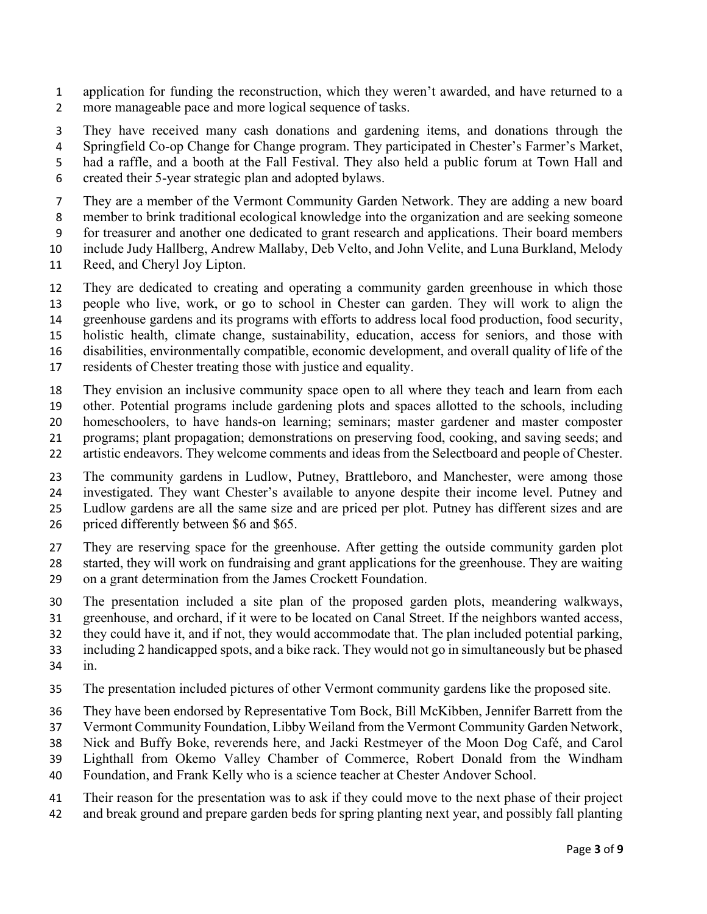- application for funding the reconstruction, which they weren't awarded, and have returned to a more manageable pace and more logical sequence of tasks.
- They have received many cash donations and gardening items, and donations through the
- Springfield Co-op Change for Change program. They participated in Chester's Farmer's Market,
- had a raffle, and a booth at the Fall Festival. They also held a public forum at Town Hall and
- created their 5-year strategic plan and adopted bylaws.
- They are a member of the Vermont Community Garden Network. They are adding a new board
- member to brink traditional ecological knowledge into the organization and are seeking someone
- for treasurer and another one dedicated to grant research and applications. Their board members
- include Judy Hallberg, Andrew Mallaby, Deb Velto, and John Velite, and Luna Burkland, Melody
- Reed, and Cheryl Joy Lipton.
- They are dedicated to creating and operating a community garden greenhouse in which those
- people who live, work, or go to school in Chester can garden. They will work to align the
- greenhouse gardens and its programs with efforts to address local food production, food security,
- holistic health, climate change, sustainability, education, access for seniors, and those with
- disabilities, environmentally compatible, economic development, and overall quality of life of the
- residents of Chester treating those with justice and equality.
- They envision an inclusive community space open to all where they teach and learn from each
- other. Potential programs include gardening plots and spaces allotted to the schools, including homeschoolers, to have hands-on learning; seminars; master gardener and master composter
- programs; plant propagation; demonstrations on preserving food, cooking, and saving seeds; and
- 22 artistic endeavors. They welcome comments and ideas from the Selectboard and people of Chester.
- The community gardens in Ludlow, Putney, Brattleboro, and Manchester, were among those investigated. They want Chester's available to anyone despite their income level. Putney and Ludlow gardens are all the same size and are priced per plot. Putney has different sizes and are
- priced differently between \$6 and \$65.
- They are reserving space for the greenhouse. After getting the outside community garden plot started, they will work on fundraising and grant applications for the greenhouse. They are waiting on a grant determination from the James Crockett Foundation.
- The presentation included a site plan of the proposed garden plots, meandering walkways,
- greenhouse, and orchard, if it were to be located on Canal Street. If the neighbors wanted access,
- they could have it, and if not, they would accommodate that. The plan included potential parking,
- including 2 handicapped spots, and a bike rack. They would not go in simultaneously but be phased in.
- The presentation included pictures of other Vermont community gardens like the proposed site.
- They have been endorsed by Representative Tom Bock, Bill McKibben, Jennifer Barrett from the
- Vermont Community Foundation, Libby Weiland from the Vermont Community Garden Network,
- Nick and Buffy Boke, reverends here, and Jacki Restmeyer of the Moon Dog Café, and Carol
- Lighthall from Okemo Valley Chamber of Commerce, Robert Donald from the Windham
- Foundation, and Frank Kelly who is a science teacher at Chester Andover School.
- Their reason for the presentation was to ask if they could move to the next phase of their project
- and break ground and prepare garden beds for spring planting next year, and possibly fall planting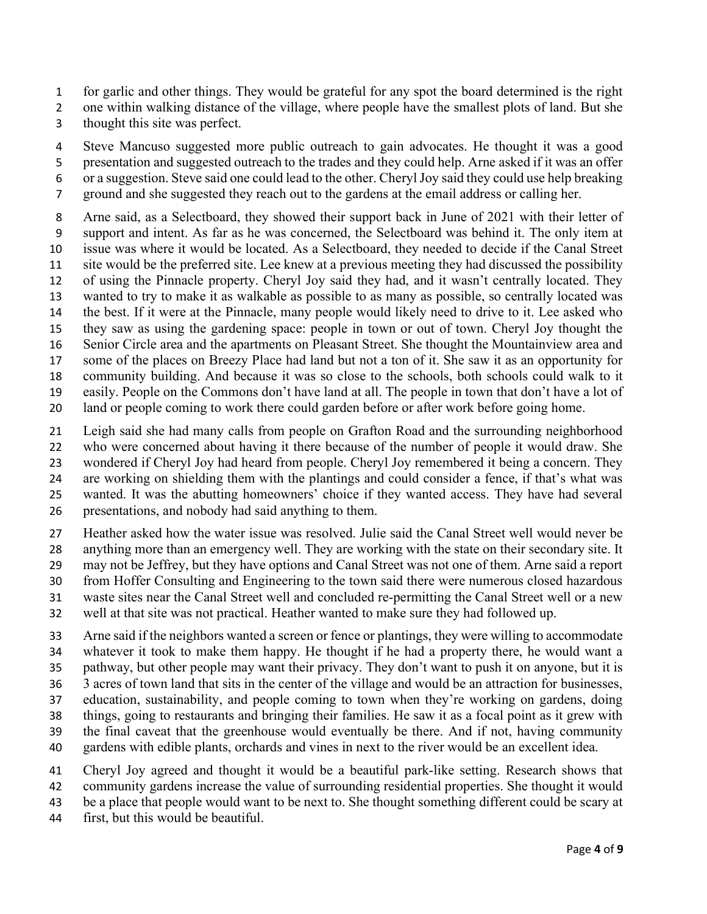for garlic and other things. They would be grateful for any spot the board determined is the right

one within walking distance of the village, where people have the smallest plots of land. But she

thought this site was perfect.

Steve Mancuso suggested more public outreach to gain advocates. He thought it was a good

presentation and suggested outreach to the trades and they could help. Arne asked if it was an offer

- or a suggestion. Steve said one could lead to the other. Cheryl Joy said they could use help breaking
- ground and she suggested they reach out to the gardens at the email address or calling her.

Arne said, as a Selectboard, they showed their support back in June of 2021 with their letter of support and intent. As far as he was concerned, the Selectboard was behind it. The only item at issue was where it would be located. As a Selectboard, they needed to decide if the Canal Street site would be the preferred site. Lee knew at a previous meeting they had discussed the possibility of using the Pinnacle property. Cheryl Joy said they had, and it wasn't centrally located. They wanted to try to make it as walkable as possible to as many as possible, so centrally located was the best. If it were at the Pinnacle, many people would likely need to drive to it. Lee asked who they saw as using the gardening space: people in town or out of town. Cheryl Joy thought the Senior Circle area and the apartments on Pleasant Street. She thought the Mountainview area and some of the places on Breezy Place had land but not a ton of it. She saw it as an opportunity for community building. And because it was so close to the schools, both schools could walk to it easily. People on the Commons don't have land at all. The people in town that don't have a lot of

land or people coming to work there could garden before or after work before going home.

Leigh said she had many calls from people on Grafton Road and the surrounding neighborhood who were concerned about having it there because of the number of people it would draw. She wondered if Cheryl Joy had heard from people. Cheryl Joy remembered it being a concern. They are working on shielding them with the plantings and could consider a fence, if that's what was

wanted. It was the abutting homeowners' choice if they wanted access. They have had several

presentations, and nobody had said anything to them.

Heather asked how the water issue was resolved. Julie said the Canal Street well would never be anything more than an emergency well. They are working with the state on their secondary site. It may not be Jeffrey, but they have options and Canal Street was not one of them. Arne said a report

from Hoffer Consulting and Engineering to the town said there were numerous closed hazardous waste sites near the Canal Street well and concluded re-permitting the Canal Street well or a new

well at that site was not practical. Heather wanted to make sure they had followed up.

Arne said if the neighbors wanted a screen or fence or plantings, they were willing to accommodate whatever it took to make them happy. He thought if he had a property there, he would want a pathway, but other people may want their privacy. They don't want to push it on anyone, but it is 3 acres of town land that sits in the center of the village and would be an attraction for businesses, education, sustainability, and people coming to town when they're working on gardens, doing things, going to restaurants and bringing their families. He saw it as a focal point as it grew with the final caveat that the greenhouse would eventually be there. And if not, having community gardens with edible plants, orchards and vines in next to the river would be an excellent idea.

Cheryl Joy agreed and thought it would be a beautiful park-like setting. Research shows that community gardens increase the value of surrounding residential properties. She thought it would

be a place that people would want to be next to. She thought something different could be scary at

first, but this would be beautiful.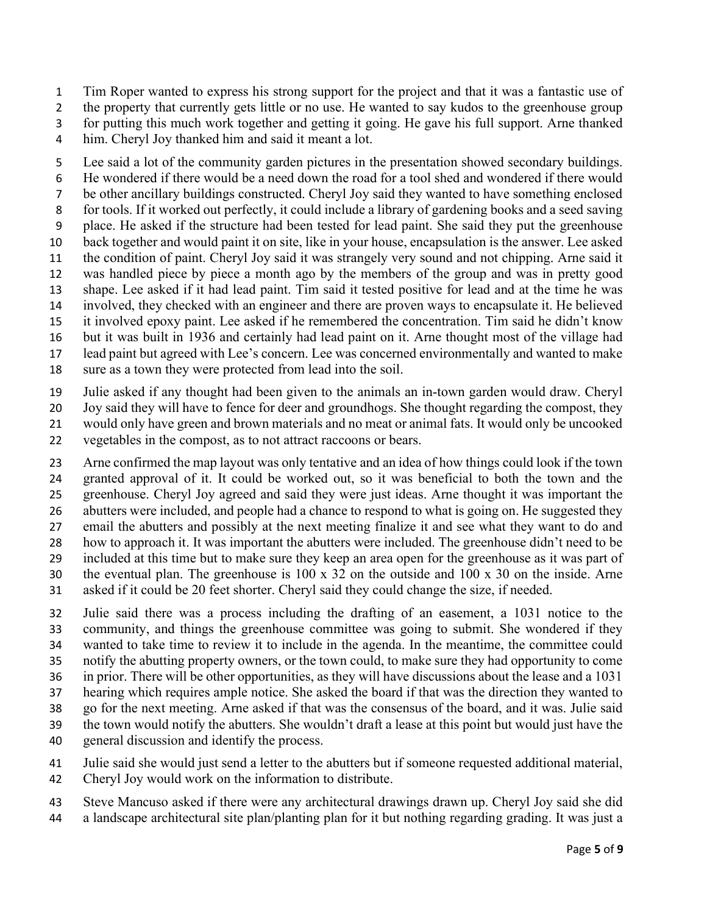Tim Roper wanted to express his strong support for the project and that it was a fantastic use of

2 the property that currently gets little or no use. He wanted to say kudos to the greenhouse group

for putting this much work together and getting it going. He gave his full support. Arne thanked

him. Cheryl Joy thanked him and said it meant a lot.

Lee said a lot of the community garden pictures in the presentation showed secondary buildings. He wondered if there would be a need down the road for a tool shed and wondered if there would be other ancillary buildings constructed. Cheryl Joy said they wanted to have something enclosed for tools. If it worked out perfectly, it could include a library of gardening books and a seed saving place. He asked if the structure had been tested for lead paint. She said they put the greenhouse back together and would paint it on site, like in your house, encapsulation is the answer. Lee asked the condition of paint. Cheryl Joy said it was strangely very sound and not chipping. Arne said it was handled piece by piece a month ago by the members of the group and was in pretty good shape. Lee asked if it had lead paint. Tim said it tested positive for lead and at the time he was involved, they checked with an engineer and there are proven ways to encapsulate it. He believed it involved epoxy paint. Lee asked if he remembered the concentration. Tim said he didn't know but it was built in 1936 and certainly had lead paint on it. Arne thought most of the village had lead paint but agreed with Lee's concern. Lee was concerned environmentally and wanted to make

sure as a town they were protected from lead into the soil.

Julie asked if any thought had been given to the animals an in-town garden would draw. Cheryl

Joy said they will have to fence for deer and groundhogs. She thought regarding the compost, they

would only have green and brown materials and no meat or animal fats. It would only be uncooked

vegetables in the compost, as to not attract raccoons or bears.

Arne confirmed the map layout was only tentative and an idea of how things could look if the town granted approval of it. It could be worked out, so it was beneficial to both the town and the greenhouse. Cheryl Joy agreed and said they were just ideas. Arne thought it was important the 26 abutters were included, and people had a chance to respond to what is going on. He suggested they email the abutters and possibly at the next meeting finalize it and see what they want to do and how to approach it. It was important the abutters were included. The greenhouse didn't need to be included at this time but to make sure they keep an area open for the greenhouse as it was part of the eventual plan. The greenhouse is 100 x 32 on the outside and 100 x 30 on the inside. Arne

asked if it could be 20 feet shorter. Cheryl said they could change the size, if needed.

Julie said there was a process including the drafting of an easement, a 1031 notice to the community, and things the greenhouse committee was going to submit. She wondered if they wanted to take time to review it to include in the agenda. In the meantime, the committee could notify the abutting property owners, or the town could, to make sure they had opportunity to come in prior. There will be other opportunities, as they will have discussions about the lease and a 1031 hearing which requires ample notice. She asked the board if that was the direction they wanted to go for the next meeting. Arne asked if that was the consensus of the board, and it was. Julie said the town would notify the abutters. She wouldn't draft a lease at this point but would just have the general discussion and identify the process.

Julie said she would just send a letter to the abutters but if someone requested additional material, Cheryl Joy would work on the information to distribute.

Steve Mancuso asked if there were any architectural drawings drawn up. Cheryl Joy said she did a landscape architectural site plan/planting plan for it but nothing regarding grading. It was just a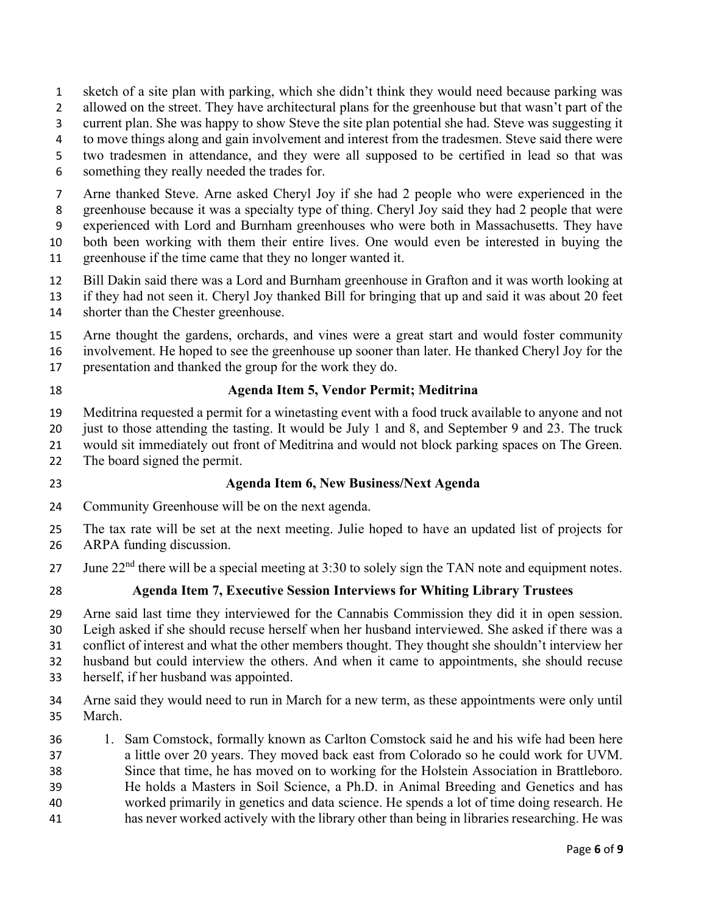- sketch of a site plan with parking, which she didn't think they would need because parking was
- allowed on the street. They have architectural plans for the greenhouse but that wasn't part of the
- current plan. She was happy to show Steve the site plan potential she had. Steve was suggesting it
- to move things along and gain involvement and interest from the tradesmen. Steve said there were
- two tradesmen in attendance, and they were all supposed to be certified in lead so that was
- something they really needed the trades for.
- Arne thanked Steve. Arne asked Cheryl Joy if she had 2 people who were experienced in the
- greenhouse because it was a specialty type of thing. Cheryl Joy said they had 2 people that were
- experienced with Lord and Burnham greenhouses who were both in Massachusetts. They have
- both been working with them their entire lives. One would even be interested in buying the
- greenhouse if the time came that they no longer wanted it.
- Bill Dakin said there was a Lord and Burnham greenhouse in Grafton and it was worth looking at
- if they had not seen it. Cheryl Joy thanked Bill for bringing that up and said it was about 20 feet shorter than the Chester greenhouse.
- 
- Arne thought the gardens, orchards, and vines were a great start and would foster community
- involvement. He hoped to see the greenhouse up sooner than later. He thanked Cheryl Joy for the
- presentation and thanked the group for the work they do.
- 

## Agenda Item 5, Vendor Permit; Meditrina

- Meditrina requested a permit for a winetasting event with a food truck available to anyone and not
- just to those attending the tasting. It would be July 1 and 8, and September 9 and 23. The truck
- would sit immediately out front of Meditrina and would not block parking spaces on The Green.
- The board signed the permit.
- 

## Agenda Item 6, New Business/Next Agenda

- Community Greenhouse will be on the next agenda.
- The tax rate will be set at the next meeting. Julie hoped to have an updated list of projects for
- ARPA funding discussion.
- 27 June  $22<sup>nd</sup>$  there will be a special meeting at 3:30 to solely sign the TAN note and equipment notes.
- 

# Agenda Item 7, Executive Session Interviews for Whiting Library Trustees

Arne said last time they interviewed for the Cannabis Commission they did it in open session.

Leigh asked if she should recuse herself when her husband interviewed. She asked if there was a

conflict of interest and what the other members thought. They thought she shouldn't interview her

husband but could interview the others. And when it came to appointments, she should recuse

- herself, if her husband was appointed.
- Arne said they would need to run in March for a new term, as these appointments were only until March.
- 1. Sam Comstock, formally known as Carlton Comstock said he and his wife had been here a little over 20 years. They moved back east from Colorado so he could work for UVM. Since that time, he has moved on to working for the Holstein Association in Brattleboro. He holds a Masters in Soil Science, a Ph.D. in Animal Breeding and Genetics and has worked primarily in genetics and data science. He spends a lot of time doing research. He has never worked actively with the library other than being in libraries researching. He was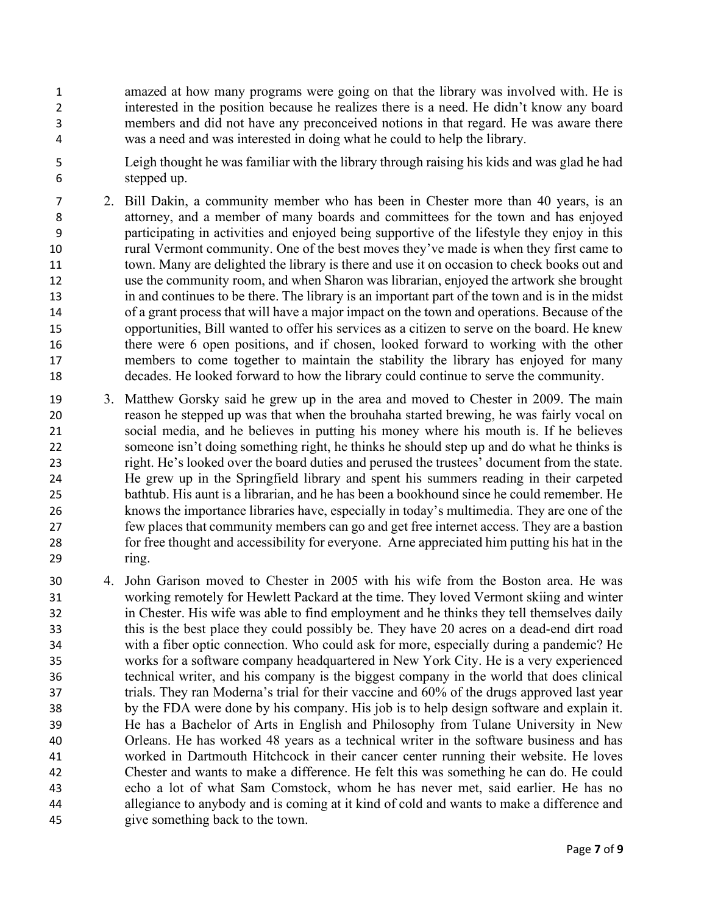- amazed at how many programs were going on that the library was involved with. He is interested in the position because he realizes there is a need. He didn't know any board members and did not have any preconceived notions in that regard. He was aware there was a need and was interested in doing what he could to help the library.
- Leigh thought he was familiar with the library through raising his kids and was glad he had stepped up.
- 2. Bill Dakin, a community member who has been in Chester more than 40 years, is an attorney, and a member of many boards and committees for the town and has enjoyed participating in activities and enjoyed being supportive of the lifestyle they enjoy in this rural Vermont community. One of the best moves they've made is when they first came to town. Many are delighted the library is there and use it on occasion to check books out and use the community room, and when Sharon was librarian, enjoyed the artwork she brought in and continues to be there. The library is an important part of the town and is in the midst of a grant process that will have a major impact on the town and operations. Because of the opportunities, Bill wanted to offer his services as a citizen to serve on the board. He knew there were 6 open positions, and if chosen, looked forward to working with the other members to come together to maintain the stability the library has enjoyed for many decades. He looked forward to how the library could continue to serve the community.
- 3. Matthew Gorsky said he grew up in the area and moved to Chester in 2009. The main reason he stepped up was that when the brouhaha started brewing, he was fairly vocal on social media, and he believes in putting his money where his mouth is. If he believes someone isn't doing something right, he thinks he should step up and do what he thinks is right. He's looked over the board duties and perused the trustees' document from the state. He grew up in the Springfield library and spent his summers reading in their carpeted bathtub. His aunt is a librarian, and he has been a bookhound since he could remember. He knows the importance libraries have, especially in today's multimedia. They are one of the few places that community members can go and get free internet access. They are a bastion for free thought and accessibility for everyone. Arne appreciated him putting his hat in the ring.
- 4. John Garison moved to Chester in 2005 with his wife from the Boston area. He was working remotely for Hewlett Packard at the time. They loved Vermont skiing and winter in Chester. His wife was able to find employment and he thinks they tell themselves daily this is the best place they could possibly be. They have 20 acres on a dead-end dirt road with a fiber optic connection. Who could ask for more, especially during a pandemic? He works for a software company headquartered in New York City. He is a very experienced technical writer, and his company is the biggest company in the world that does clinical trials. They ran Moderna's trial for their vaccine and 60% of the drugs approved last year by the FDA were done by his company. His job is to help design software and explain it. He has a Bachelor of Arts in English and Philosophy from Tulane University in New Orleans. He has worked 48 years as a technical writer in the software business and has worked in Dartmouth Hitchcock in their cancer center running their website. He loves Chester and wants to make a difference. He felt this was something he can do. He could echo a lot of what Sam Comstock, whom he has never met, said earlier. He has no allegiance to anybody and is coming at it kind of cold and wants to make a difference and give something back to the town.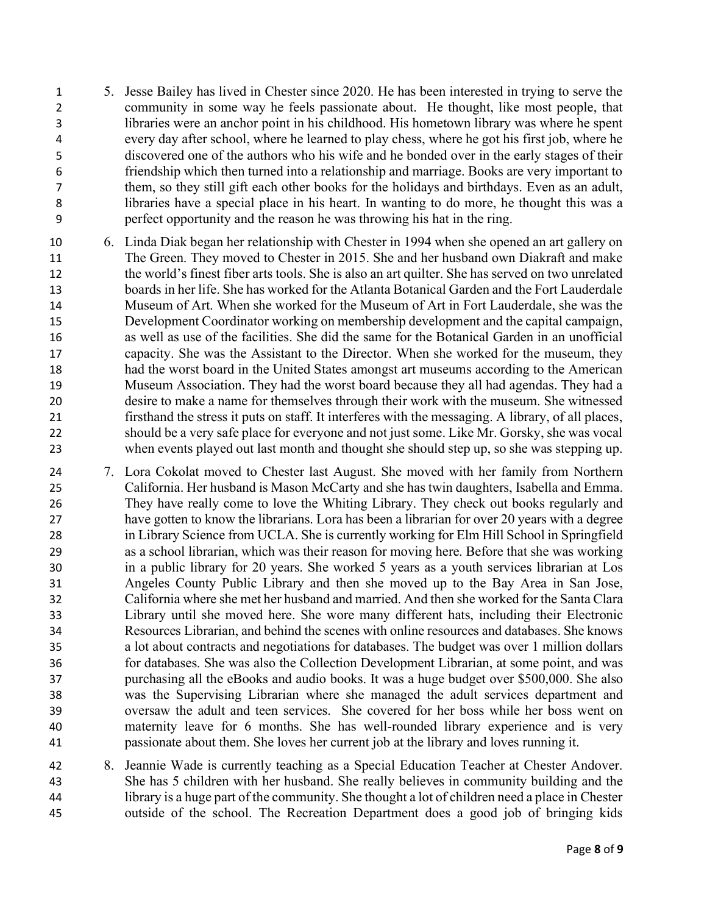- 5. Jesse Bailey has lived in Chester since 2020. He has been interested in trying to serve the community in some way he feels passionate about. He thought, like most people, that libraries were an anchor point in his childhood. His hometown library was where he spent every day after school, where he learned to play chess, where he got his first job, where he discovered one of the authors who his wife and he bonded over in the early stages of their friendship which then turned into a relationship and marriage. Books are very important to them, so they still gift each other books for the holidays and birthdays. Even as an adult, libraries have a special place in his heart. In wanting to do more, he thought this was a perfect opportunity and the reason he was throwing his hat in the ring.
- 6. Linda Diak began her relationship with Chester in 1994 when she opened an art gallery on The Green. They moved to Chester in 2015. She and her husband own Diakraft and make the world's finest fiber arts tools. She is also an art quilter. She has served on two unrelated boards in her life. She has worked for the Atlanta Botanical Garden and the Fort Lauderdale Museum of Art. When she worked for the Museum of Art in Fort Lauderdale, she was the Development Coordinator working on membership development and the capital campaign, as well as use of the facilities. She did the same for the Botanical Garden in an unofficial capacity. She was the Assistant to the Director. When she worked for the museum, they had the worst board in the United States amongst art museums according to the American Museum Association. They had the worst board because they all had agendas. They had a desire to make a name for themselves through their work with the museum. She witnessed firsthand the stress it puts on staff. It interferes with the messaging. A library, of all places, should be a very safe place for everyone and not just some. Like Mr. Gorsky, she was vocal when events played out last month and thought she should step up, so she was stepping up.
- 7. Lora Cokolat moved to Chester last August. She moved with her family from Northern California. Her husband is Mason McCarty and she has twin daughters, Isabella and Emma. They have really come to love the Whiting Library. They check out books regularly and have gotten to know the librarians. Lora has been a librarian for over 20 years with a degree in Library Science from UCLA. She is currently working for Elm Hill School in Springfield as a school librarian, which was their reason for moving here. Before that she was working in a public library for 20 years. She worked 5 years as a youth services librarian at Los Angeles County Public Library and then she moved up to the Bay Area in San Jose, California where she met her husband and married. And then she worked for the Santa Clara Library until she moved here. She wore many different hats, including their Electronic Resources Librarian, and behind the scenes with online resources and databases. She knows a lot about contracts and negotiations for databases. The budget was over 1 million dollars for databases. She was also the Collection Development Librarian, at some point, and was purchasing all the eBooks and audio books. It was a huge budget over \$500,000. She also was the Supervising Librarian where she managed the adult services department and oversaw the adult and teen services. She covered for her boss while her boss went on maternity leave for 6 months. She has well-rounded library experience and is very passionate about them. She loves her current job at the library and loves running it.
- 8. Jeannie Wade is currently teaching as a Special Education Teacher at Chester Andover. She has 5 children with her husband. She really believes in community building and the library is a huge part of the community. She thought a lot of children need a place in Chester outside of the school. The Recreation Department does a good job of bringing kids